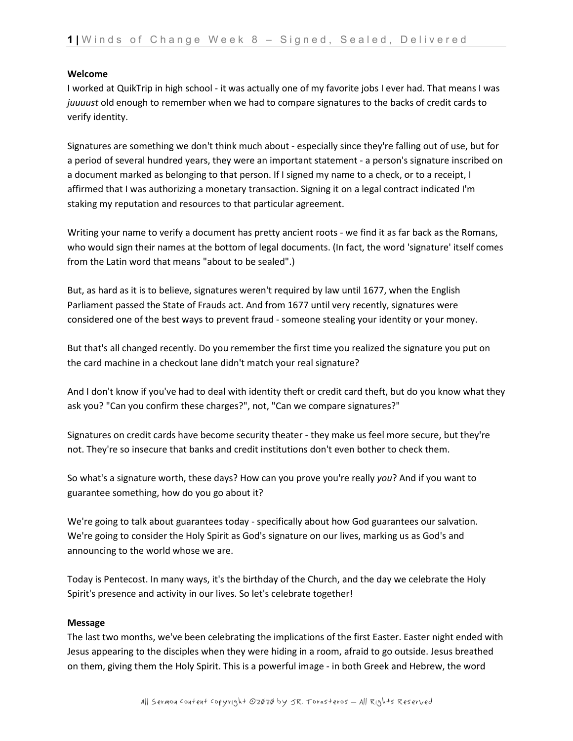### **Welcome**

I worked at QuikTrip in high school - it was actually one of my favorite jobs I ever had. That means I was *juuuust* old enough to remember when we had to compare signatures to the backs of credit cards to verify identity.

Signatures are something we don't think much about - especially since they're falling out of use, but for a period of several hundred years, they were an important statement - a person's signature inscribed on a document marked as belonging to that person. If I signed my name to a check, or to a receipt, I affirmed that I was authorizing a monetary transaction. Signing it on a legal contract indicated I'm staking my reputation and resources to that particular agreement.

Writing your name to verify a document has pretty ancient roots - we find it as far back as the Romans, who would sign their names at the bottom of legal documents. (In fact, the word 'signature' itself comes from the Latin word that means "about to be sealed".)

But, as hard as it is to believe, signatures weren't required by law until 1677, when the English Parliament passed the State of Frauds act. And from 1677 until very recently, signatures were considered one of the best ways to prevent fraud - someone stealing your identity or your money.

But that's all changed recently. Do you remember the first time you realized the signature you put on the card machine in a checkout lane didn't match your real signature?

And I don't know if you've had to deal with identity theft or credit card theft, but do you know what they ask you? "Can you confirm these charges?", not, "Can we compare signatures?"

Signatures on credit cards have become security theater - they make us feel more secure, but they're not. They're so insecure that banks and credit institutions don't even bother to check them.

So what's a signature worth, these days? How can you prove you're really *you*? And if you want to guarantee something, how do you go about it?

We're going to talk about guarantees today - specifically about how God guarantees our salvation. We're going to consider the Holy Spirit as God's signature on our lives, marking us as God's and announcing to the world whose we are.

Today is Pentecost. In many ways, it's the birthday of the Church, and the day we celebrate the Holy Spirit's presence and activity in our lives. So let's celebrate together!

## **Message**

The last two months, we've been celebrating the implications of the first Easter. Easter night ended with Jesus appearing to the disciples when they were hiding in a room, afraid to go outside. Jesus breathed on them, giving them the Holy Spirit. This is a powerful image - in both Greek and Hebrew, the word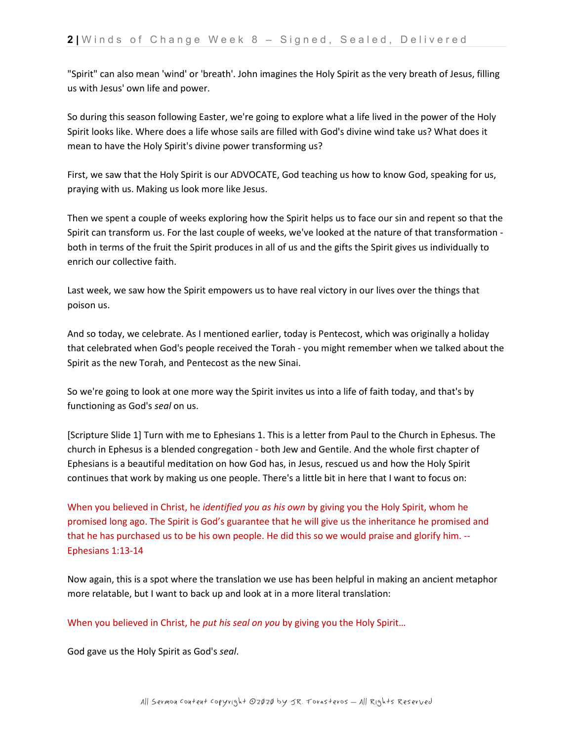"Spirit" can also mean 'wind' or 'breath'. John imagines the Holy Spirit as the very breath of Jesus, filling us with Jesus' own life and power.

So during this season following Easter, we're going to explore what a life lived in the power of the Holy Spirit looks like. Where does a life whose sails are filled with God's divine wind take us? What does it mean to have the Holy Spirit's divine power transforming us?

First, we saw that the Holy Spirit is our ADVOCATE, God teaching us how to know God, speaking for us, praying with us. Making us look more like Jesus.

Then we spent a couple of weeks exploring how the Spirit helps us to face our sin and repent so that the Spirit can transform us. For the last couple of weeks, we've looked at the nature of that transformation both in terms of the fruit the Spirit produces in all of us and the gifts the Spirit gives us individually to enrich our collective faith.

Last week, we saw how the Spirit empowers us to have real victory in our lives over the things that poison us.

And so today, we celebrate. As I mentioned earlier, today is Pentecost, which was originally a holiday that celebrated when God's people received the Torah - you might remember when we talked about the Spirit as the new Torah, and Pentecost as the new Sinai.

So we're going to look at one more way the Spirit invites us into a life of faith today, and that's by functioning as God's *seal* on us.

[Scripture Slide 1] Turn with me to Ephesians 1. This is a letter from Paul to the Church in Ephesus. The church in Ephesus is a blended congregation - both Jew and Gentile. And the whole first chapter of Ephesians is a beautiful meditation on how God has, in Jesus, rescued us and how the Holy Spirit continues that work by making us one people. There's a little bit in here that I want to focus on:

When you believed in Christ, he *identified you as his own* by giving you the Holy Spirit, whom he promised long ago. The Spirit is God's guarantee that he will give us the inheritance he promised and that he has purchased us to be his own people. He did this so we would praise and glorify him. -- Ephesians 1:13-14

Now again, this is a spot where the translation we use has been helpful in making an ancient metaphor more relatable, but I want to back up and look at in a more literal translation:

When you believed in Christ, he *put his seal on you* by giving you the Holy Spirit…

God gave us the Holy Spirit as God's *seal*.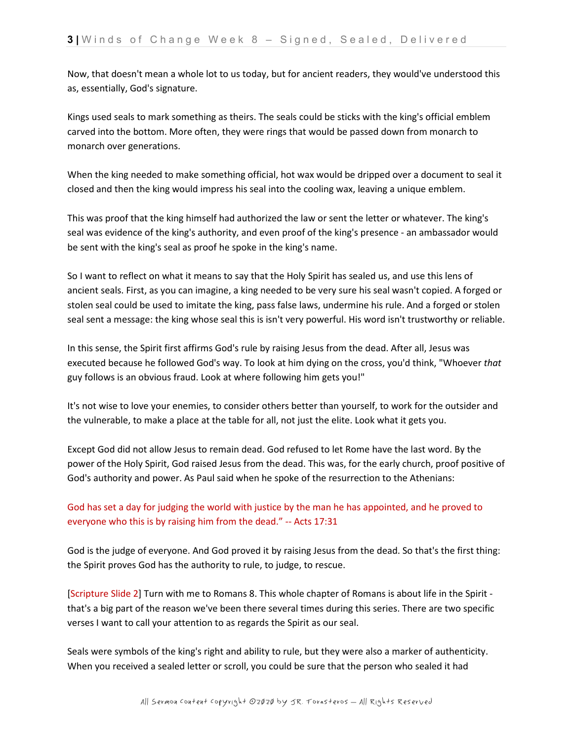Now, that doesn't mean a whole lot to us today, but for ancient readers, they would've understood this as, essentially, God's signature.

Kings used seals to mark something as theirs. The seals could be sticks with the king's official emblem carved into the bottom. More often, they were rings that would be passed down from monarch to monarch over generations.

When the king needed to make something official, hot wax would be dripped over a document to seal it closed and then the king would impress his seal into the cooling wax, leaving a unique emblem.

This was proof that the king himself had authorized the law or sent the letter or whatever. The king's seal was evidence of the king's authority, and even proof of the king's presence - an ambassador would be sent with the king's seal as proof he spoke in the king's name.

So I want to reflect on what it means to say that the Holy Spirit has sealed us, and use this lens of ancient seals. First, as you can imagine, a king needed to be very sure his seal wasn't copied. A forged or stolen seal could be used to imitate the king, pass false laws, undermine his rule. And a forged or stolen seal sent a message: the king whose seal this is isn't very powerful. His word isn't trustworthy or reliable.

In this sense, the Spirit first affirms God's rule by raising Jesus from the dead. After all, Jesus was executed because he followed God's way. To look at him dying on the cross, you'd think, "Whoever *that*  guy follows is an obvious fraud. Look at where following him gets you!"

It's not wise to love your enemies, to consider others better than yourself, to work for the outsider and the vulnerable, to make a place at the table for all, not just the elite. Look what it gets you.

Except God did not allow Jesus to remain dead. God refused to let Rome have the last word. By the power of the Holy Spirit, God raised Jesus from the dead. This was, for the early church, proof positive of God's authority and power. As Paul said when he spoke of the resurrection to the Athenians:

# God has set a day for judging the world with justice by the man he has appointed, and he proved to everyone who this is by raising him from the dead." -- Acts 17:31

God is the judge of everyone. And God proved it by raising Jesus from the dead. So that's the first thing: the Spirit proves God has the authority to rule, to judge, to rescue.

[Scripture Slide 2] Turn with me to Romans 8. This whole chapter of Romans is about life in the Spirit that's a big part of the reason we've been there several times during this series. There are two specific verses I want to call your attention to as regards the Spirit as our seal.

Seals were symbols of the king's right and ability to rule, but they were also a marker of authenticity. When you received a sealed letter or scroll, you could be sure that the person who sealed it had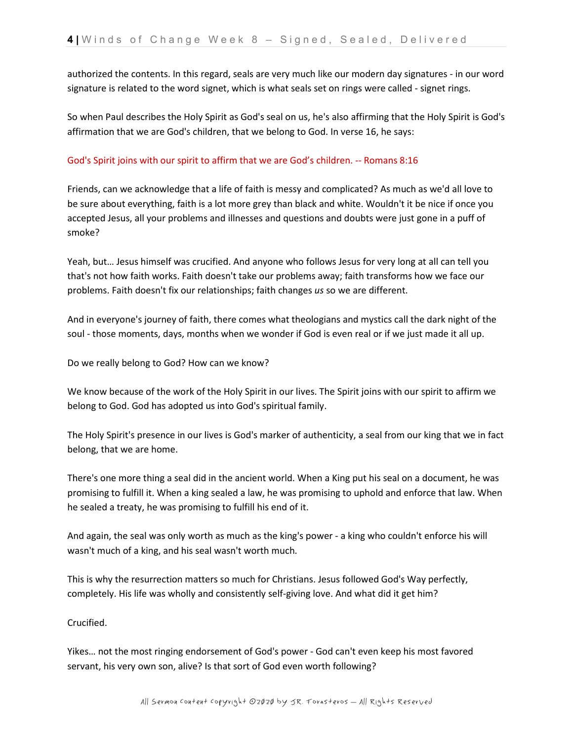authorized the contents. In this regard, seals are very much like our modern day signatures - in our word signature is related to the word signet, which is what seals set on rings were called - signet rings.

So when Paul describes the Holy Spirit as God's seal on us, he's also affirming that the Holy Spirit is God's affirmation that we are God's children, that we belong to God. In verse 16, he says:

# God's Spirit joins with our spirit to affirm that we are God's children. -- Romans 8:16

Friends, can we acknowledge that a life of faith is messy and complicated? As much as we'd all love to be sure about everything, faith is a lot more grey than black and white. Wouldn't it be nice if once you accepted Jesus, all your problems and illnesses and questions and doubts were just gone in a puff of smoke?

Yeah, but… Jesus himself was crucified. And anyone who follows Jesus for very long at all can tell you that's not how faith works. Faith doesn't take our problems away; faith transforms how we face our problems. Faith doesn't fix our relationships; faith changes *us* so we are different.

And in everyone's journey of faith, there comes what theologians and mystics call the dark night of the soul - those moments, days, months when we wonder if God is even real or if we just made it all up.

Do we really belong to God? How can we know?

We know because of the work of the Holy Spirit in our lives. The Spirit joins with our spirit to affirm we belong to God. God has adopted us into God's spiritual family.

The Holy Spirit's presence in our lives is God's marker of authenticity, a seal from our king that we in fact belong, that we are home.

There's one more thing a seal did in the ancient world. When a King put his seal on a document, he was promising to fulfill it. When a king sealed a law, he was promising to uphold and enforce that law. When he sealed a treaty, he was promising to fulfill his end of it.

And again, the seal was only worth as much as the king's power - a king who couldn't enforce his will wasn't much of a king, and his seal wasn't worth much.

This is why the resurrection matters so much for Christians. Jesus followed God's Way perfectly, completely. His life was wholly and consistently self-giving love. And what did it get him?

Crucified.

Yikes… not the most ringing endorsement of God's power - God can't even keep his most favored servant, his very own son, alive? Is that sort of God even worth following?